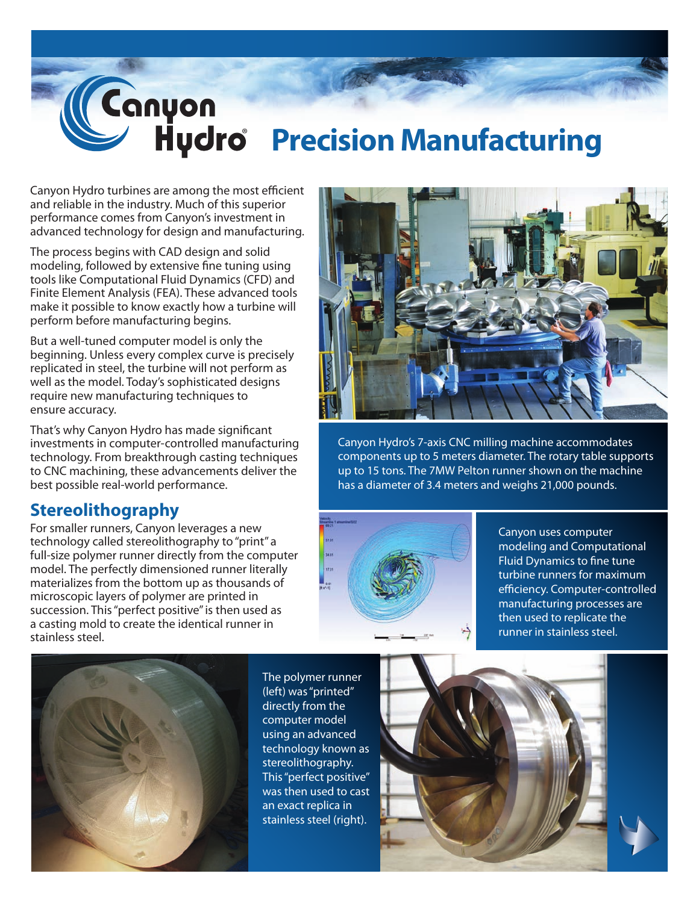

## ® **Precision Manufacturing**

Canyon Hydro turbines are among the most efficient and reliable in the industry. Much of this superior performance comes from Canyon's investment in advanced technology for design and manufacturing.

The process begins with CAD design and solid modeling, followed by extensive fine tuning using tools like Computational Fluid Dynamics (CFD) and Finite Element Analysis (FEA). These advanced tools make it possible to know exactly how a turbine will perform before manufacturing begins.

But a well-tuned computer model is only the beginning. Unless every complex curve is precisely replicated in steel, the turbine will not perform as well as the model. Today's sophisticated designs require new manufacturing techniques to ensure accuracy.

That's why Canyon Hydro has made significant investments in computer-controlled manufacturing technology. From breakthrough casting techniques to CNC machining, these advancements deliver the best possible real-world performance.

## **Stereolithography**

For smaller runners, Canyon leverages a new technology called stereolithography to "print" a full-size polymer runner directly from the computer model. The perfectly dimensioned runner literally materializes from the bottom up as thousands of microscopic layers of polymer are printed in succession. This "perfect positive" is then used as a casting mold to create the identical runner in stainless steel.



The polymer runner (left) was "printed" directly from the computer model using an advanced technology known as stereolithography. This "perfect positive" was then used to cast an exact replica in stainless steel (right).



Canyon Hydro's 7-axis CNC milling machine accommodates components up to 5 meters diameter. The rotary table supports up to 15 tons. The 7MW Pelton runner shown on the machine has a diameter of 3.4 meters and weighs 21,000 pounds.



Canyon uses computer modeling and Computational Fluid Dynamics to fine tune turbine runners for maximum efficiency. Computer-controlled manufacturing processes are then used to replicate the runner in stainless steel.